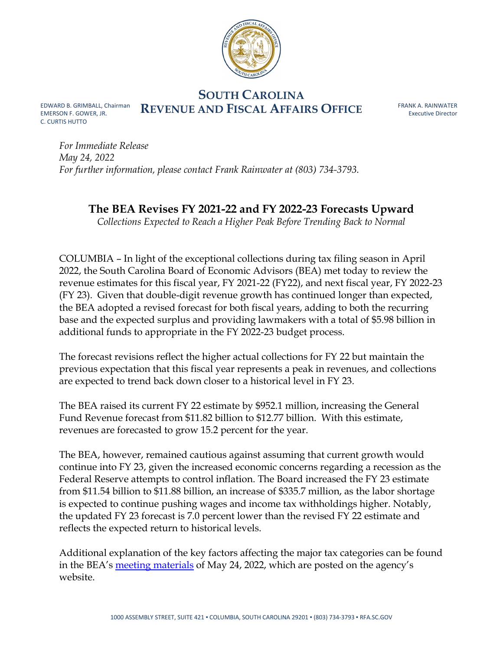

**SOUTH CAROLINA EDWARD B. GRIMBALL, Chairman** REVENUE AND FISCAL AFFAIRS OFFICE

EMERSON F. GOWER, JR. C. CURTIS HUTTO

FRANK A. RAINWATER Executive Director

*For Immediate Release May 24, 2022 For further information, please contact Frank Rainwater at (803) 734-3793.*

## **The BEA Revises FY 2021-22 and FY 2022-23 Forecasts Upward**

*Collections Expected to Reach a Higher Peak Before Trending Back to Normal*

COLUMBIA – In light of the exceptional collections during tax filing season in April 2022, the South Carolina Board of Economic Advisors (BEA) met today to review the revenue estimates for this fiscal year, FY 2021-22 (FY22), and next fiscal year, FY 2022-23 (FY 23). Given that double-digit revenue growth has continued longer than expected, the BEA adopted a revised forecast for both fiscal years, adding to both the recurring base and the expected surplus and providing lawmakers with a total of \$5.98 billion in additional funds to appropriate in the FY 2022-23 budget process.

The forecast revisions reflect the higher actual collections for FY 22 but maintain the previous expectation that this fiscal year represents a peak in revenues, and collections are expected to trend back down closer to a historical level in FY 23.

The BEA raised its current FY 22 estimate by \$952.1 million, increasing the General Fund Revenue forecast from \$11.82 billion to \$12.77 billion. With this estimate, revenues are forecasted to grow 15.2 percent for the year.

The BEA, however, remained cautious against assuming that current growth would continue into FY 23, given the increased economic concerns regarding a recession as the Federal Reserve attempts to control inflation. The Board increased the FY 23 estimate from \$11.54 billion to \$11.88 billion, an increase of \$335.7 million, as the labor shortage is expected to continue pushing wages and income tax withholdings higher. Notably, the updated FY 23 forecast is 7.0 percent lower than the revised FY 22 estimate and reflects the expected return to historical levels.

Additional explanation of the key factors affecting the major tax categories can be found in the BEA's [meeting materials](https://rfa.sc.gov/sites/default/files/2022-05/May%2024%2C%202022%20BEA%20Presentation.pdf) of May 24, 2022, which are posted on the agency's website.